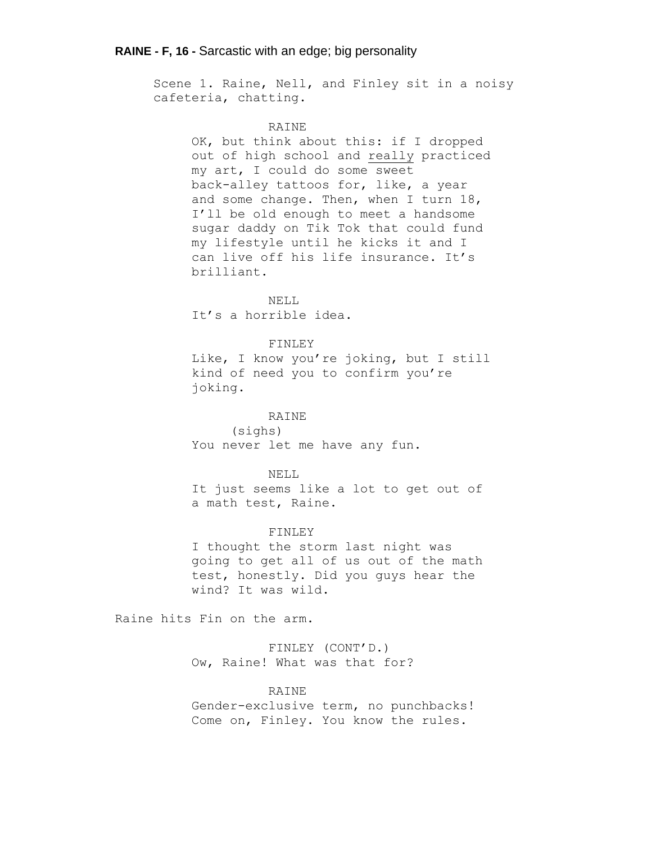# **RAINE - F, 16 -** Sarcastic with an edge; big personality

Scene 1. Raine, Nell, and Finley sit in a noisy cafeteria, chatting.

## RAINE

OK, but think about this: if I dropped out of high school and really practiced my art, I could do some sweet back-alley tattoos for, like, a year and some change. Then, when I turn 18, I'll be old enough to meet a handsome sugar daddy on Tik Tok that could fund my lifestyle until he kicks it and I can live off his life insurance. It's brilliant.

NELL It's a horrible idea.

# FINLEY

Like, I know you're joking, but I still kind of need you to confirm you're joking.

# RAINE

(sighs) You never let me have any fun.

## NELL

It just seems like a lot to get out of a math test, Raine.

## FINLEY

I thought the storm last night was going to get all of us out of the math test, honestly. Did you guys hear the wind? It was wild.

Raine hits Fin on the arm.

FINLEY (CONT'D.) Ow, Raine! What was that for?

# RAINE

Gender-exclusive term, no punchbacks! Come on, Finley. You know the rules.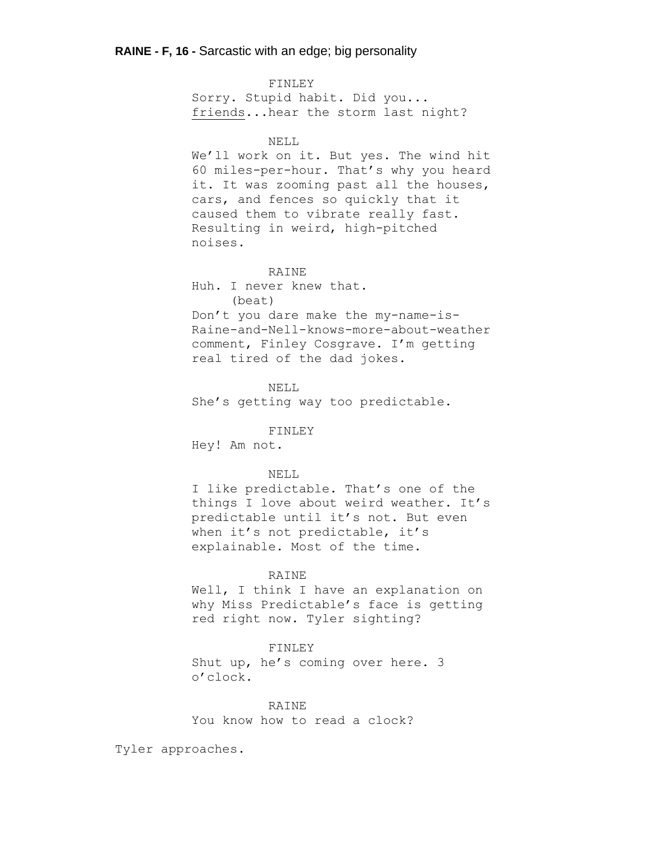FINLEY Sorry. Stupid habit. Did you... friends...hear the storm last night? NELL We'll work on it. But yes. The wind hit 60 miles-per-hour. That's why you heard it. It was zooming past all the houses, cars, and fences so quickly that it caused them to vibrate really fast. Resulting in weird, high-pitched noises. RAINE Huh. I never knew that. (beat) Don't you dare make the my-name-is-Raine-and-Nell-knows-more-about-weather comment, Finley Cosgrave. I'm getting real tired of the dad jokes. NELL She's getting way too predictable. FINLEY Hey! Am not. NELL I like predictable. That's one of the things I love about weird weather. It's predictable until it's not. But even when it's not predictable, it's explainable. Most of the time. RAINE Well, I think I have an explanation on why Miss Predictable's face is getting red right now. Tyler sighting?

#### FINLEY

Shut up, he's coming over here. 3 o'clock.

## RAINE

You know how to read a clock?

Tyler approaches.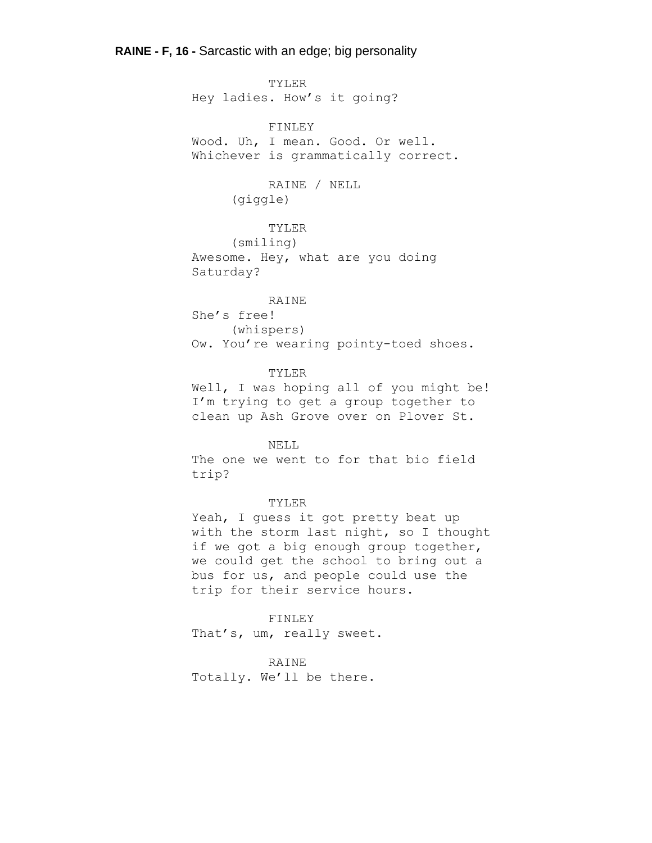# **RAINE - F, 16 -** Sarcastic with an edge; big personality

TYLER Hey ladies. How's it going? FINLEY

Wood. Uh, I mean. Good. Or well. Whichever is grammatically correct.

# RAINE / NELL (giggle)

# TYLER

(smiling) Awesome. Hey, what are you doing Saturday?

# RAINE

She's free! (whispers) Ow. You're wearing pointy-toed shoes.

#### TYLER

Well, I was hoping all of you might be! I'm trying to get a group together to clean up Ash Grove over on Plover St.

# NELL

The one we went to for that bio field trip?

# TYLER

Yeah, I guess it got pretty beat up with the storm last night, so I thought if we got a big enough group together, we could get the school to bring out a bus for us, and people could use the trip for their service hours.

FINLEY That's, um, really sweet.

# RAINE

Totally. We'll be there.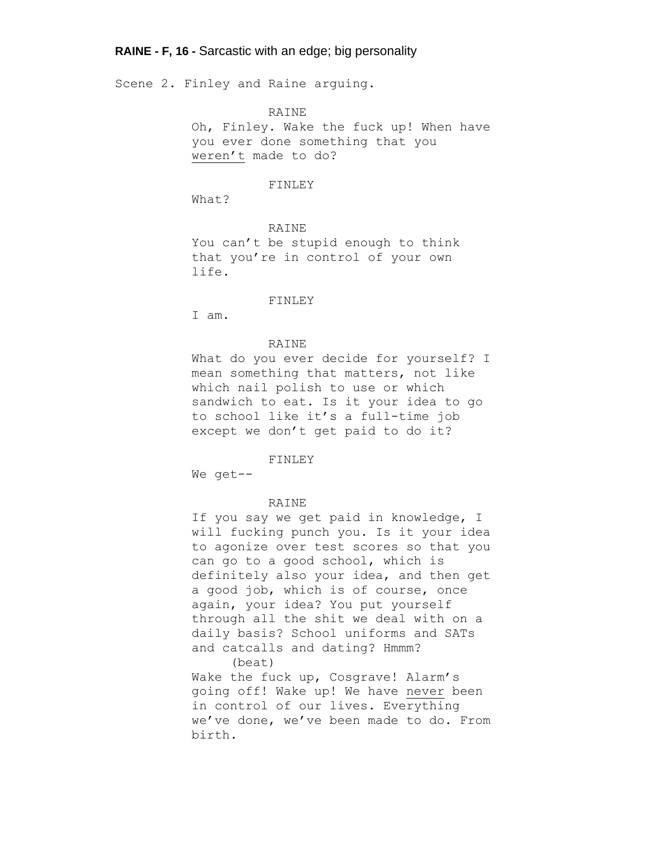# **RAINE - F, 16 -** Sarcastic with an edge; big personality

Scene 2. Finley and Raine arguing.

RAINE

Oh, Finley. Wake the fuck up! When have you ever done something that you weren't made to do?

#### FINLEY

What?

RAINE You can't be stupid enough to think that you're in control of your own life.

FINLEY

I am.

## RAINE

What do you ever decide for yourself? I mean something that matters, not like which nail polish to use or which sandwich to eat. Is it your idea to go to school like it's a full-time job except we don't get paid to do it?

FINLEY

We get--

#### RAINE

If you say we get paid in knowledge, I will fucking punch you. Is it your idea to agonize over test scores so that you can go to a good school, which is definitely also your idea, and then get a good job, which is of course, once again, your idea? You put yourself through all the shit we deal with on a daily basis? School uniforms and SATs and catcalls and dating? Hmmm? (beat)

Wake the fuck up, Cosgrave! Alarm's going off! Wake up! We have never been in control of our lives. Everything we've done, we've been made to do. From birth.